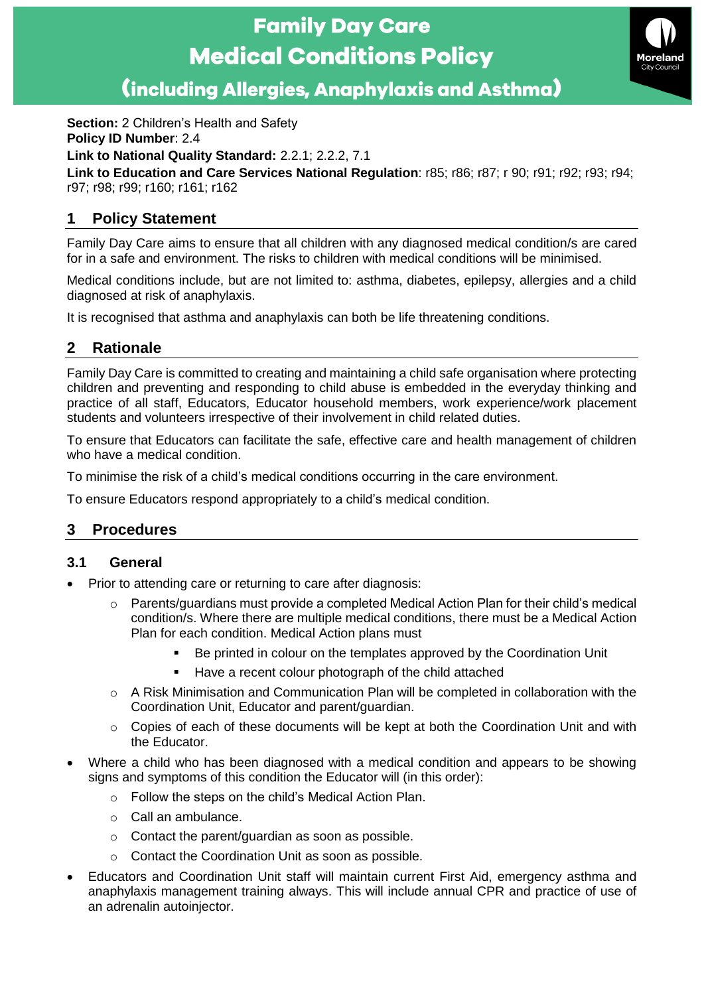# **Family Day Care Medical Conditions Policy**



(including Allergies, Anaphylaxis and Asthma)

**Section:** 2 Children's Health and Safety **Policy ID Number**: 2.4

**Link to National Quality Standard:** 2.2.1; 2.2.2, 7.1

**Link to Education and Care Services National Regulation**: r85; r86; r87; r 90; r91; r92; r93; r94; r97; r98; r99; r160; r161; r162

# **1 Policy Statement**

Family Day Care aims to ensure that all children with any diagnosed medical condition/s are cared for in a safe and environment. The risks to children with medical conditions will be minimised.

Medical conditions include, but are not limited to: asthma, diabetes, epilepsy, allergies and a child diagnosed at risk of anaphylaxis.

It is recognised that asthma and anaphylaxis can both be life threatening conditions.

## **2 Rationale**

Family Day Care is committed to creating and maintaining a child safe organisation where protecting children and preventing and responding to child abuse is embedded in the everyday thinking and practice of all staff, Educators, Educator household members, work experience/work placement students and volunteers irrespective of their involvement in child related duties.

To ensure that Educators can facilitate the safe, effective care and health management of children who have a medical condition.

To minimise the risk of a child's medical conditions occurring in the care environment.

To ensure Educators respond appropriately to a child's medical condition.

## **3 Procedures**

#### **3.1 General**

- Prior to attending care or returning to care after diagnosis:
	- $\circ$  Parents/guardians must provide a completed Medical Action Plan for their child's medical condition/s. Where there are multiple medical conditions, there must be a Medical Action Plan for each condition. Medical Action plans must
		- Be printed in colour on the templates approved by the Coordination Unit
		- Have a recent colour photograph of the child attached
	- $\circ$  A Risk Minimisation and Communication Plan will be completed in collaboration with the Coordination Unit, Educator and parent/guardian.
	- o Copies of each of these documents will be kept at both the Coordination Unit and with the Educator.
- Where a child who has been diagnosed with a medical condition and appears to be showing signs and symptoms of this condition the Educator will (in this order):
	- o Follow the steps on the child's Medical Action Plan.
	- o Call an ambulance.
	- o Contact the parent/guardian as soon as possible.
	- o Contact the Coordination Unit as soon as possible.
- Educators and Coordination Unit staff will maintain current First Aid, emergency asthma and anaphylaxis management training always. This will include annual CPR and practice of use of an adrenalin autoinjector.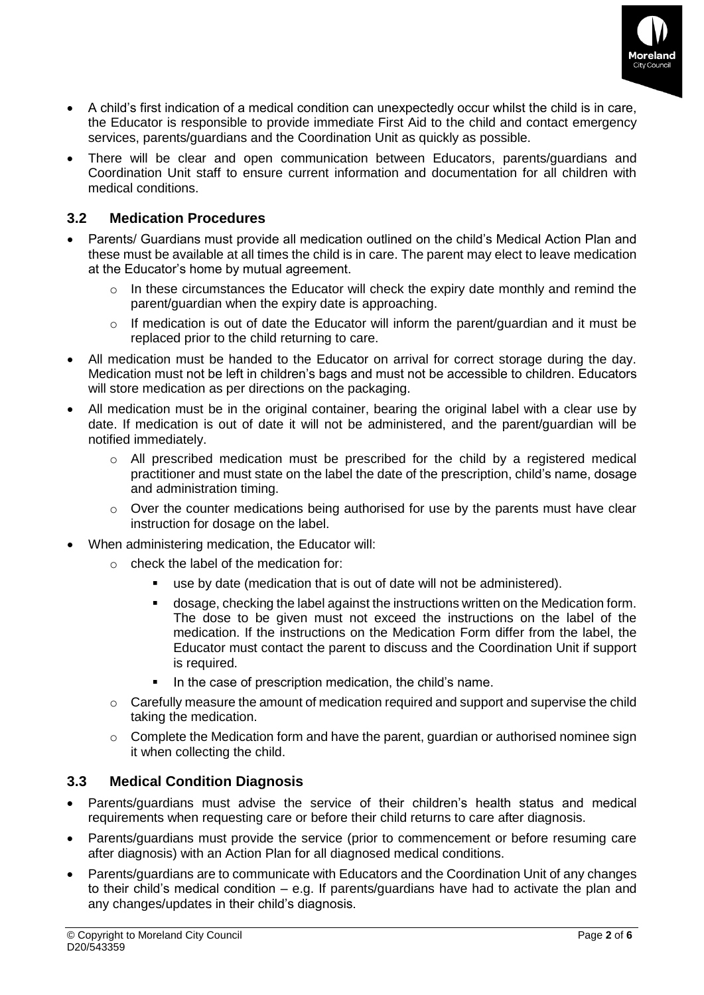

- A child's first indication of a medical condition can unexpectedly occur whilst the child is in care, the Educator is responsible to provide immediate First Aid to the child and contact emergency services, parents/guardians and the Coordination Unit as quickly as possible.
- There will be clear and open communication between Educators, parents/guardians and Coordination Unit staff to ensure current information and documentation for all children with medical conditions.

#### **3.2 Medication Procedures**

- Parents/ Guardians must provide all medication outlined on the child's Medical Action Plan and these must be available at all times the child is in care. The parent may elect to leave medication at the Educator's home by mutual agreement.
	- $\circ$  In these circumstances the Educator will check the expiry date monthly and remind the parent/guardian when the expiry date is approaching.
	- o If medication is out of date the Educator will inform the parent/guardian and it must be replaced prior to the child returning to care.
- All medication must be handed to the Educator on arrival for correct storage during the day. Medication must not be left in children's bags and must not be accessible to children. Educators will store medication as per directions on the packaging.
- All medication must be in the original container, bearing the original label with a clear use by date. If medication is out of date it will not be administered, and the parent/guardian will be notified immediately.
	- o All prescribed medication must be prescribed for the child by a registered medical practitioner and must state on the label the date of the prescription, child's name, dosage and administration timing.
	- o Over the counter medications being authorised for use by the parents must have clear instruction for dosage on the label.
- When administering medication, the Educator will:
	- $\circ$  check the label of the medication for:
		- use by date (medication that is out of date will not be administered).
		- dosage, checking the label against the instructions written on the Medication form. The dose to be given must not exceed the instructions on the label of the medication. If the instructions on the Medication Form differ from the label, the Educator must contact the parent to discuss and the Coordination Unit if support is required.
		- In the case of prescription medication, the child's name.
	- $\circ$  Carefully measure the amount of medication required and support and supervise the child taking the medication.
	- $\circ$  Complete the Medication form and have the parent, quardian or authorised nominee sign it when collecting the child.

#### **3.3 Medical Condition Diagnosis**

- Parents/guardians must advise the service of their children's health status and medical requirements when requesting care or before their child returns to care after diagnosis.
- Parents/guardians must provide the service (prior to commencement or before resuming care after diagnosis) with an Action Plan for all diagnosed medical conditions.
- Parents/guardians are to communicate with Educators and the Coordination Unit of any changes to their child's medical condition – e.g. If parents/guardians have had to activate the plan and any changes/updates in their child's diagnosis.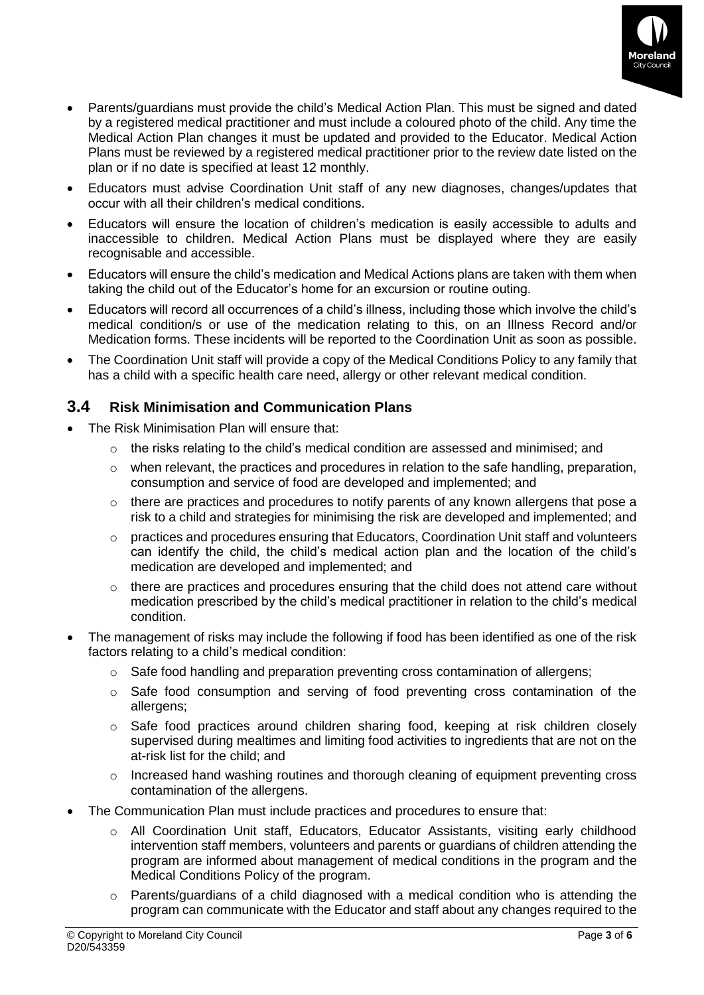

- Parents/guardians must provide the child's Medical Action Plan. This must be signed and dated by a registered medical practitioner and must include a coloured photo of the child. Any time the Medical Action Plan changes it must be updated and provided to the Educator. Medical Action Plans must be reviewed by a registered medical practitioner prior to the review date listed on the plan or if no date is specified at least 12 monthly.
- Educators must advise Coordination Unit staff of any new diagnoses, changes/updates that occur with all their children's medical conditions.
- Educators will ensure the location of children's medication is easily accessible to adults and inaccessible to children. Medical Action Plans must be displayed where they are easily recognisable and accessible.
- Educators will ensure the child's medication and Medical Actions plans are taken with them when taking the child out of the Educator's home for an excursion or routine outing.
- Educators will record all occurrences of a child's illness, including those which involve the child's medical condition/s or use of the medication relating to this, on an Illness Record and/or Medication forms. These incidents will be reported to the Coordination Unit as soon as possible.
- The Coordination Unit staff will provide a copy of the Medical Conditions Policy to any family that has a child with a specific health care need, allergy or other relevant medical condition.

#### **3.4 Risk Minimisation and Communication Plans**

- The Risk Minimisation Plan will ensure that:
	- $\circ$  the risks relating to the child's medical condition are assessed and minimised; and
	- $\circ$  when relevant, the practices and procedures in relation to the safe handling, preparation, consumption and service of food are developed and implemented; and
	- $\circ$  there are practices and procedures to notify parents of any known allergens that pose a risk to a child and strategies for minimising the risk are developed and implemented; and
	- o practices and procedures ensuring that Educators, Coordination Unit staff and volunteers can identify the child, the child's medical action plan and the location of the child's medication are developed and implemented; and
	- o there are practices and procedures ensuring that the child does not attend care without medication prescribed by the child's medical practitioner in relation to the child's medical condition.
- The management of risks may include the following if food has been identified as one of the risk factors relating to a child's medical condition:
	- $\circ$  Safe food handling and preparation preventing cross contamination of allergens;
	- o Safe food consumption and serving of food preventing cross contamination of the allergens;
	- o Safe food practices around children sharing food, keeping at risk children closely supervised during mealtimes and limiting food activities to ingredients that are not on the at-risk list for the child; and
	- $\circ$  Increased hand washing routines and thorough cleaning of equipment preventing cross contamination of the allergens.
- The Communication Plan must include practices and procedures to ensure that:
	- o All Coordination Unit staff, Educators, Educator Assistants, visiting early childhood intervention staff members, volunteers and parents or guardians of children attending the program are informed about management of medical conditions in the program and the Medical Conditions Policy of the program.
	- o Parents/guardians of a child diagnosed with a medical condition who is attending the program can communicate with the Educator and staff about any changes required to the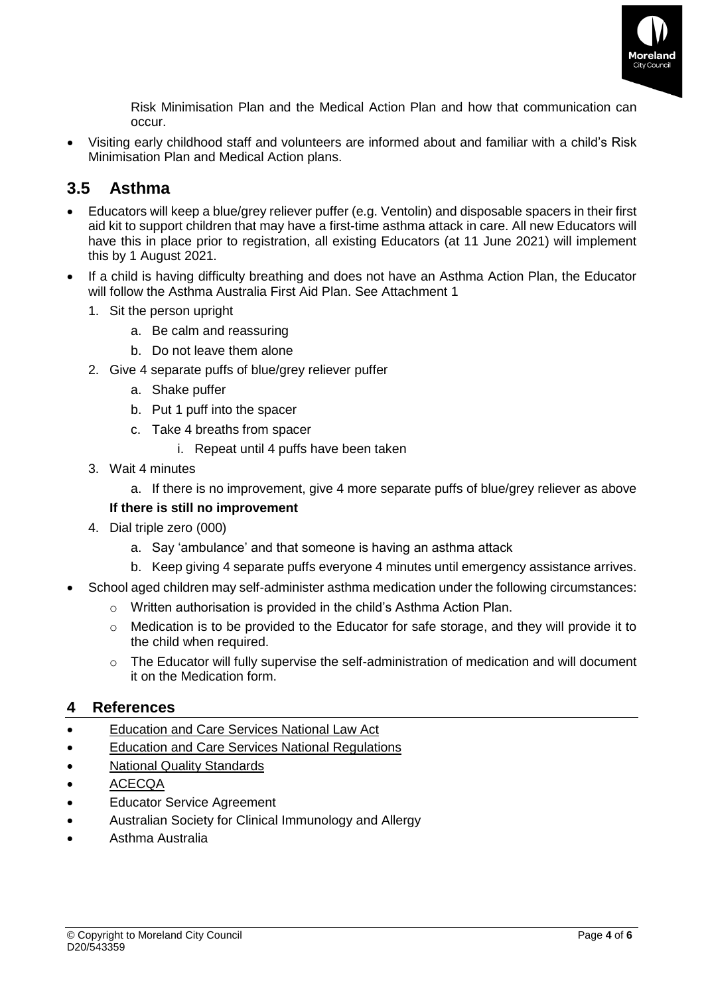

Risk Minimisation Plan and the Medical Action Plan and how that communication can occur.

• Visiting early childhood staff and volunteers are informed about and familiar with a child's Risk Minimisation Plan and Medical Action plans.

# **3.5 Asthma**

- Educators will keep a blue/grey reliever puffer (e.g. Ventolin) and disposable spacers in their first aid kit to support children that may have a first-time asthma attack in care. All new Educators will have this in place prior to registration, all existing Educators (at 11 June 2021) will implement this by 1 August 2021.
- If a child is having difficulty breathing and does not have an Asthma Action Plan, the Educator will follow the Asthma Australia First Aid Plan. See Attachment 1
	- 1. Sit the person upright
		- a. Be calm and reassuring
		- b. Do not leave them alone
	- 2. Give 4 separate puffs of blue/grey reliever puffer
		- a. Shake puffer
		- b. Put 1 puff into the spacer
		- c. Take 4 breaths from spacer
			- i. Repeat until 4 puffs have been taken
	- 3. Wait 4 minutes
		- a. If there is no improvement, give 4 more separate puffs of blue/grey reliever as above **If there is still no improvement**
	- 4. Dial triple zero (000)
		- a. Say 'ambulance' and that someone is having an asthma attack
		- b. Keep giving 4 separate puffs everyone 4 minutes until emergency assistance arrives.
- School aged children may self-administer asthma medication under the following circumstances:
	- o Written authorisation is provided in the child's Asthma Action Plan.
	- $\circ$  Medication is to be provided to the Educator for safe storage, and they will provide it to the child when required.
	- $\circ$  The Educator will fully supervise the self-administration of medication and will document it on the Medication form.

#### **4 References**

- [Education and Care Services National Law Act](https://www.acecqa.gov.au/nqf/national-law-regulations/national-law)
- [Education and Care Services National Regulations](https://www.acecqa.gov.au/nqf/national-law-regulations/national-regulations)
- [National Quality Standards](https://www.acecqa.gov.au/nqf/national-quality-standard)
- [ACECQA](https://www.acecqa.gov.au/)
- Educator Service Agreement
- Australian Society for Clinical Immunology and Allergy
- Asthma Australia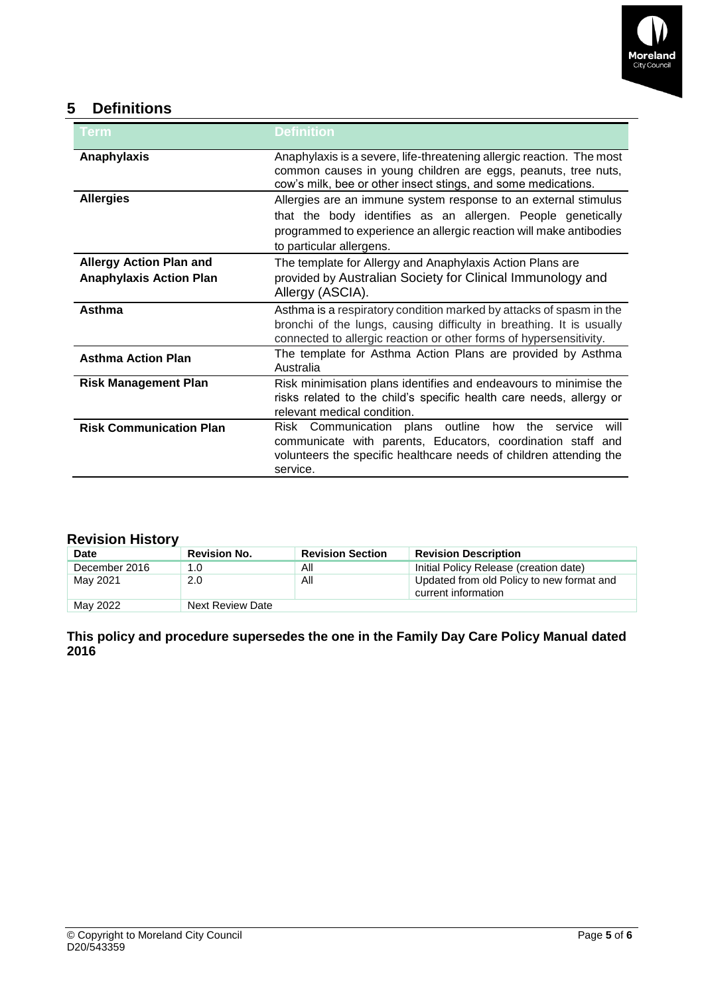

# **5 Definitions**

| <u>llerm</u>                                                     | <b>Definition</b>                                                                                                                                                                                                                |  |  |
|------------------------------------------------------------------|----------------------------------------------------------------------------------------------------------------------------------------------------------------------------------------------------------------------------------|--|--|
| Anaphylaxis                                                      | Anaphylaxis is a severe, life-threatening allergic reaction. The most<br>common causes in young children are eggs, peanuts, tree nuts,<br>cow's milk, bee or other insect stings, and some medications.                          |  |  |
| <b>Allergies</b>                                                 | Allergies are an immune system response to an external stimulus<br>that the body identifies as an allergen. People genetically<br>programmed to experience an allergic reaction will make antibodies<br>to particular allergens. |  |  |
| <b>Allergy Action Plan and</b><br><b>Anaphylaxis Action Plan</b> | The template for Allergy and Anaphylaxis Action Plans are<br>provided by Australian Society for Clinical Immunology and<br>Allergy (ASCIA).                                                                                      |  |  |
| Asthma                                                           | Asthma is a respiratory condition marked by attacks of spasm in the<br>bronchi of the lungs, causing difficulty in breathing. It is usually<br>connected to allergic reaction or other forms of hypersensitivity.                |  |  |
| <b>Asthma Action Plan</b>                                        | The template for Asthma Action Plans are provided by Asthma<br>Australia                                                                                                                                                         |  |  |
| <b>Risk Management Plan</b>                                      | Risk minimisation plans identifies and endeavours to minimise the<br>risks related to the child's specific health care needs, allergy or<br>relevant medical condition.                                                          |  |  |
| <b>Risk Communication Plan</b>                                   | Risk Communication plans outline how the service<br>will<br>communicate with parents, Educators, coordination staff and<br>volunteers the specific healthcare needs of children attending the<br>service.                        |  |  |

#### **Revision History**

| .             |                         |                         |                                                                  |  |
|---------------|-------------------------|-------------------------|------------------------------------------------------------------|--|
| Date          | <b>Revision No.</b>     | <b>Revision Section</b> | <b>Revision Description</b>                                      |  |
| December 2016 | 1.0                     | All                     | Initial Policy Release (creation date)                           |  |
| May 2021      | 2.0                     | All                     | Updated from old Policy to new format and<br>current information |  |
| May 2022      | <b>Next Review Date</b> |                         |                                                                  |  |

#### **This policy and procedure supersedes the one in the Family Day Care Policy Manual dated 2016**